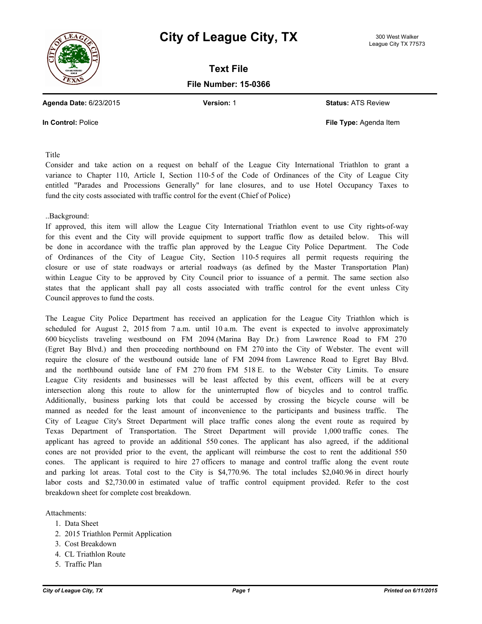



**Text File File Number: 15-0366**

**Agenda Date:** 6/23/2015 **Version:** 1 **Status:** ATS Review

**In Control:** Police **File Type:** Agenda Item

Title

Consider and take action on a request on behalf of the League City International Triathlon to grant a variance to Chapter 110, Article I, Section 110-5 of the Code of Ordinances of the City of League City entitled "Parades and Processions Generally" for lane closures, and to use Hotel Occupancy Taxes to fund the city costs associated with traffic control for the event (Chief of Police)

..Background:

If approved, this item will allow the League City International Triathlon event to use City rights-of-way for this event and the City will provide equipment to support traffic flow as detailed below. This will be done in accordance with the traffic plan approved by the League City Police Department. The Code of Ordinances of the City of League City, Section 110-5 requires all permit requests requiring the closure or use of state roadways or arterial roadways (as defined by the Master Transportation Plan) within League City to be approved by City Council prior to issuance of a permit. The same section also states that the applicant shall pay all costs associated with traffic control for the event unless City Council approves to fund the costs.

The League City Police Department has received an application for the League City Triathlon which is scheduled for August 2, 2015 from 7 a.m. until 10 a.m. The event is expected to involve approximately 600 bicyclists traveling westbound on FM 2094 (Marina Bay Dr.) from Lawrence Road to FM 270 (Egret Bay Blvd.) and then proceeding northbound on FM 270 into the City of Webster. The event will require the closure of the westbound outside lane of FM 2094 from Lawrence Road to Egret Bay Blvd. and the northbound outside lane of FM 270 from FM 518 E. to the Webster City Limits. To ensure League City residents and businesses will be least affected by this event, officers will be at every intersection along this route to allow for the uninterrupted flow of bicycles and to control traffic. Additionally, business parking lots that could be accessed by crossing the bicycle course will be manned as needed for the least amount of inconvenience to the participants and business traffic. The City of League City's Street Department will place traffic cones along the event route as required by Texas Department of Transportation. The Street Department will provide 1,000 traffic cones. The applicant has agreed to provide an additional 550 cones. The applicant has also agreed, if the additional cones are not provided prior to the event, the applicant will reimburse the cost to rent the additional 550 cones. The applicant is required to hire 27 officers to manage and control traffic along the event route and parking lot areas. Total cost to the City is \$4,770.96. The total includes \$2,040.96 in direct hourly labor costs and \$2,730.00 in estimated value of traffic control equipment provided. Refer to the cost breakdown sheet for complete cost breakdown.

Attachments:

- 1. Data Sheet
- 2. 2015 Triathlon Permit Application
- 3. Cost Breakdown
- 4. CL Triathlon Route
- 5. Traffic Plan